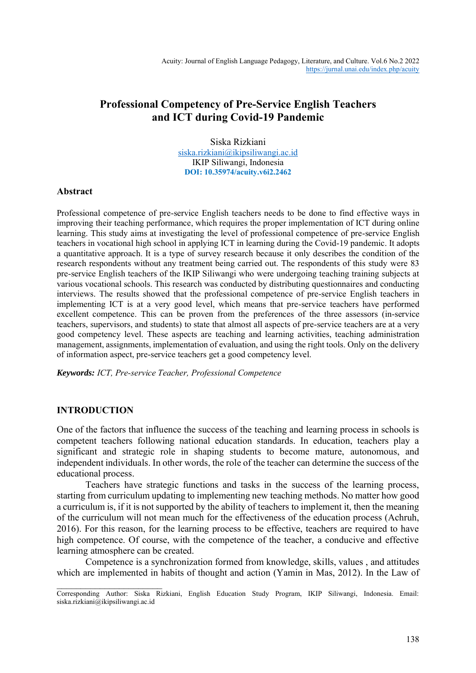# **Professional Competency of Pre-Service English Teachers and ICT during Covid-19 Pandemic**

Siska Rizkiani [siska.rizkiani@ikipsiliwangi.ac.id](mailto:siska.rizkiani@ikipsiliwangi.ac.id) IKIP Siliwangi, Indonesia **DOI: 10.35974/acuity.v6i2.2462**

## **Abstract**

Professional competence of pre-service English teachers needs to be done to find effective ways in improving their teaching performance, which requires the proper implementation of ICT during online learning. This study aims at investigating the level of professional competence of pre-service English teachers in vocational high school in applying ICT in learning during the Covid-19 pandemic. It adopts a quantitative approach. It is a type of survey research because it only describes the condition of the research respondents without any treatment being carried out. The respondents of this study were 83 pre-service English teachers of the IKIP Siliwangi who were undergoing teaching training subjects at various vocational schools. This research was conducted by distributing questionnaires and conducting interviews. The results showed that the professional competence of pre-service English teachers in implementing ICT is at a very good level, which means that pre-service teachers have performed excellent competence. This can be proven from the preferences of the three assessors (in-service teachers, supervisors, and students) to state that almost all aspects of pre-service teachers are at a very good competency level. These aspects are teaching and learning activities, teaching administration management, assignments, implementation of evaluation, and using the right tools. Only on the delivery of information aspect, pre-service teachers get a good competency level.

*Keywords: ICT, Pre-service Teacher, Professional Competence*

## **INTRODUCTION**

 $\overline{\phantom{a}}$ 

One of the factors that influence the success of the teaching and learning process in schools is competent teachers following national education standards. In education, teachers play a significant and strategic role in shaping students to become mature, autonomous, and independent individuals. In other words, the role of the teacher can determine the success of the educational process.

Teachers have strategic functions and tasks in the success of the learning process, starting from curriculum updating to implementing new teaching methods. No matter how good a curriculum is, if it is not supported by the ability of teachers to implement it, then the meaning of the curriculum will not mean much for the effectiveness of the education process (Achruh, 2016). For this reason, for the learning process to be effective, teachers are required to have high competence. Of course, with the competence of the teacher, a conducive and effective learning atmosphere can be created.

Competence is a synchronization formed from knowledge, skills, values , and attitudes which are implemented in habits of thought and action (Yamin in Mas, 2012). In the Law of

Corresponding Author: Siska Rizkiani, English Education Study Program, IKIP Siliwangi, Indonesia. Email: siska.rizkiani@ikipsiliwangi.ac.id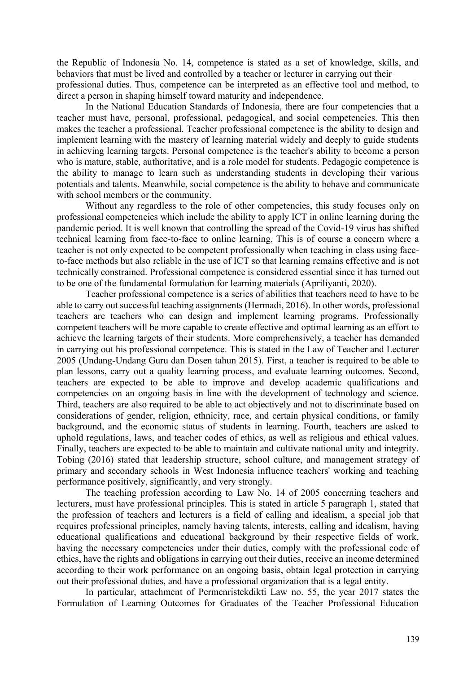the Republic of Indonesia No. 14, competence is stated as a set of knowledge, skills, and behaviors that must be lived and controlled by a teacher or lecturer in carrying out their professional duties. Thus, competence can be interpreted as an effective tool and method, to direct a person in shaping himself toward maturity and independence.

In the National Education Standards of Indonesia, there are four competencies that a teacher must have, personal, professional, pedagogical, and social competencies. This then makes the teacher a professional. Teacher professional competence is the ability to design and implement learning with the mastery of learning material widely and deeply to guide students in achieving learning targets. Personal competence is the teacher's ability to become a person who is mature, stable, authoritative, and is a role model for students. Pedagogic competence is the ability to manage to learn such as understanding students in developing their various potentials and talents. Meanwhile, social competence is the ability to behave and communicate with school members or the community.

Without any regardless to the role of other competencies, this study focuses only on professional competencies which include the ability to apply ICT in online learning during the pandemic period. It is well known that controlling the spread of the Covid-19 virus has shifted technical learning from face-to-face to online learning. This is of course a concern where a teacher is not only expected to be competent professionally when teaching in class using faceto-face methods but also reliable in the use of ICT so that learning remains effective and is not technically constrained. Professional competence is considered essential since it has turned out to be one of the fundamental formulation for learning materials (Apriliyanti, 2020).

Teacher professional competence is a series of abilities that teachers need to have to be able to carry out successful teaching assignments (Hermadi, 2016). In other words, professional teachers are teachers who can design and implement learning programs. Professionally competent teachers will be more capable to create effective and optimal learning as an effort to achieve the learning targets of their students. More comprehensively, a teacher has demanded in carrying out his professional competence. This is stated in the Law of Teacher and Lecturer 2005 (Undang-Undang Guru dan Dosen tahun 2015). First, a teacher is required to be able to plan lessons, carry out a quality learning process, and evaluate learning outcomes. Second, teachers are expected to be able to improve and develop academic qualifications and competencies on an ongoing basis in line with the development of technology and science. Third, teachers are also required to be able to act objectively and not to discriminate based on considerations of gender, religion, ethnicity, race, and certain physical conditions, or family background, and the economic status of students in learning. Fourth, teachers are asked to uphold regulations, laws, and teacher codes of ethics, as well as religious and ethical values. Finally, teachers are expected to be able to maintain and cultivate national unity and integrity. Tobing (2016) stated that leadership structure, school culture, and management strategy of primary and secondary schools in West Indonesia influence teachers' working and teaching performance positively, significantly, and very strongly.

The teaching profession according to Law No. 14 of 2005 concerning teachers and lecturers, must have professional principles. This is stated in article 5 paragraph 1, stated that the profession of teachers and lecturers is a field of calling and idealism, a special job that requires professional principles, namely having talents, interests, calling and idealism, having educational qualifications and educational background by their respective fields of work, having the necessary competencies under their duties, comply with the professional code of ethics, have the rights and obligations in carrying out their duties, receive an income determined according to their work performance on an ongoing basis, obtain legal protection in carrying out their professional duties, and have a professional organization that is a legal entity.

In particular, attachment of Permenristekdikti Law no. 55, the year 2017 states the Formulation of Learning Outcomes for Graduates of the Teacher Professional Education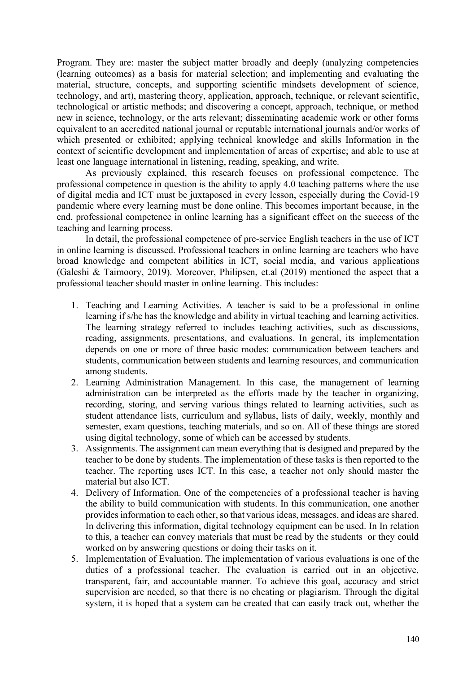Program. They are: master the subject matter broadly and deeply (analyzing competencies (learning outcomes) as a basis for material selection; and implementing and evaluating the material, structure, concepts, and supporting scientific mindsets development of science, technology, and art), mastering theory, application, approach, technique, or relevant scientific, technological or artistic methods; and discovering a concept, approach, technique, or method new in science, technology, or the arts relevant; disseminating academic work or other forms equivalent to an accredited national journal or reputable international journals and/or works of which presented or exhibited; applying technical knowledge and skills Information in the context of scientific development and implementation of areas of expertise; and able to use at least one language international in listening, reading, speaking, and write.

As previously explained, this research focuses on professional competence. The professional competence in question is the ability to apply 4.0 teaching patterns where the use of digital media and ICT must be juxtaposed in every lesson, especially during the Covid-19 pandemic where every learning must be done online. This becomes important because, in the end, professional competence in online learning has a significant effect on the success of the teaching and learning process.

In detail, the professional competence of pre-service English teachers in the use of ICT in online learning is discussed. Professional teachers in online learning are teachers who have broad knowledge and competent abilities in ICT, social media, and various applications (Galeshi & Taimoory, 2019). Moreover, Philipsen, et.al (2019) mentioned the aspect that a professional teacher should master in online learning. This includes:

- 1. Teaching and Learning Activities. A teacher is said to be a professional in online learning if s/he has the knowledge and ability in virtual teaching and learning activities. The learning strategy referred to includes teaching activities, such as discussions, reading, assignments, presentations, and evaluations. In general, its implementation depends on one or more of three basic modes: communication between teachers and students, communication between students and learning resources, and communication among students.
- 2. Learning Administration Management. In this case, the management of learning administration can be interpreted as the efforts made by the teacher in organizing, recording, storing, and serving various things related to learning activities, such as student attendance lists, curriculum and syllabus, lists of daily, weekly, monthly and semester, exam questions, teaching materials, and so on. All of these things are stored using digital technology, some of which can be accessed by students.
- 3. Assignments. The assignment can mean everything that is designed and prepared by the teacher to be done by students. The implementation of these tasks is then reported to the teacher. The reporting uses ICT. In this case, a teacher not only should master the material but also ICT.
- 4. Delivery of Information. One of the competencies of a professional teacher is having the ability to build communication with students. In this communication, one another provides information to each other, so that various ideas, messages, and ideas are shared. In delivering this information, digital technology equipment can be used. In In relation to this, a teacher can convey materials that must be read by the students or they could worked on by answering questions or doing their tasks on it.
- 5. Implementation of Evaluation. The implementation of various evaluations is one of the duties of a professional teacher. The evaluation is carried out in an objective, transparent, fair, and accountable manner. To achieve this goal, accuracy and strict supervision are needed, so that there is no cheating or plagiarism. Through the digital system, it is hoped that a system can be created that can easily track out, whether the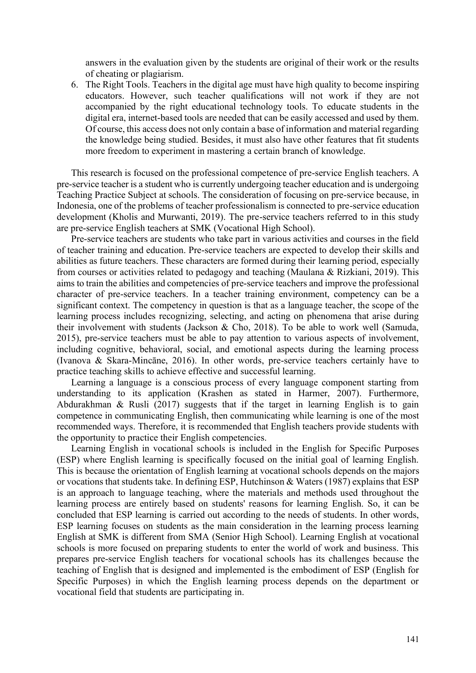answers in the evaluation given by the students are original of their work or the results of cheating or plagiarism.

6. The Right Tools. Teachers in the digital age must have high quality to become inspiring educators. However, such teacher qualifications will not work if they are not accompanied by the right educational technology tools. To educate students in the digital era, internet-based tools are needed that can be easily accessed and used by them. Of course, this access does not only contain a base of information and material regarding the knowledge being studied. Besides, it must also have other features that fit students more freedom to experiment in mastering a certain branch of knowledge.

This research is focused on the professional competence of pre-service English teachers. A pre-service teacher is a student who is currently undergoing teacher education and is undergoing Teaching Practice Subject at schools. The consideration of focusing on pre-service because, in Indonesia, one of the problems of teacher professionalism is connected to pre-service education development (Kholis and Murwanti, 2019). The pre-service teachers referred to in this study are pre-service English teachers at SMK (Vocational High School).

Pre-service teachers are students who take part in various activities and courses in the field of teacher training and education. Pre-service teachers are expected to develop their skills and abilities as future teachers. These characters are formed during their learning period, especially from courses or activities related to pedagogy and teaching (Maulana & Rizkiani, 2019). This aims to train the abilities and competencies of pre-service teachers and improve the professional character of pre-service teachers. In a teacher training environment, competency can be a significant context. The competency in question is that as a language teacher, the scope of the learning process includes recognizing, selecting, and acting on phenomena that arise during their involvement with students (Jackson & Cho, 2018). To be able to work well (Samuda, 2015), pre-service teachers must be able to pay attention to various aspects of involvement, including cognitive, behavioral, social, and emotional aspects during the learning process (Ivanova & Skara-Mincāne, 2016). In other words, pre-service teachers certainly have to practice teaching skills to achieve effective and successful learning.

Learning a language is a conscious process of every language component starting from understanding to its application (Krashen as stated in Harmer, 2007). Furthermore, Abdurakhman  $\&$  Rusli (2017) suggests that if the target in learning English is to gain competence in communicating English, then communicating while learning is one of the most recommended ways. Therefore, it is recommended that English teachers provide students with the opportunity to practice their English competencies.

Learning English in vocational schools is included in the English for Specific Purposes (ESP) where English learning is specifically focused on the initial goal of learning English. This is because the orientation of English learning at vocational schools depends on the majors or vocations that students take. In defining ESP, Hutchinson & Waters (1987) explains that ESP is an approach to language teaching, where the materials and methods used throughout the learning process are entirely based on students' reasons for learning English. So, it can be concluded that ESP learning is carried out according to the needs of students. In other words, ESP learning focuses on students as the main consideration in the learning process learning English at SMK is different from SMA (Senior High School). Learning English at vocational schools is more focused on preparing students to enter the world of work and business. This prepares pre-service English teachers for vocational schools has its challenges because the teaching of English that is designed and implemented is the embodiment of ESP (English for Specific Purposes) in which the English learning process depends on the department or vocational field that students are participating in.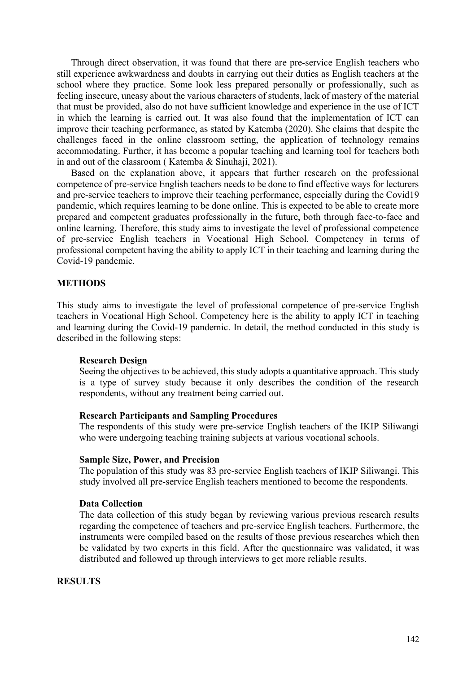Through direct observation, it was found that there are pre-service English teachers who still experience awkwardness and doubts in carrying out their duties as English teachers at the school where they practice. Some look less prepared personally or professionally, such as feeling insecure, uneasy about the various characters of students, lack of mastery of the material that must be provided, also do not have sufficient knowledge and experience in the use of ICT in which the learning is carried out. It was also found that the implementation of ICT can improve their teaching performance, as stated by Katemba (2020). She claims that despite the challenges faced in the online classroom setting, the application of technology remains accommodating. Further, it has become a popular teaching and learning tool for teachers both in and out of the classroom ( Katemba & Sinuhaji, 2021).

Based on the explanation above, it appears that further research on the professional competence of pre-service English teachers needs to be done to find effective ways for lecturers and pre-service teachers to improve their teaching performance, especially during the Covid19 pandemic, which requires learning to be done online. This is expected to be able to create more prepared and competent graduates professionally in the future, both through face-to-face and online learning. Therefore, this study aims to investigate the level of professional competence of pre-service English teachers in Vocational High School. Competency in terms of professional competent having the ability to apply ICT in their teaching and learning during the Covid-19 pandemic.

## **METHODS**

This study aims to investigate the level of professional competence of pre-service English teachers in Vocational High School. Competency here is the ability to apply ICT in teaching and learning during the Covid-19 pandemic. In detail, the method conducted in this study is described in the following steps:

### **Research Design**

Seeing the objectives to be achieved, this study adopts a quantitative approach. This study is a type of survey study because it only describes the condition of the research respondents, without any treatment being carried out.

## **Research Participants and Sampling Procedures**

The respondents of this study were pre-service English teachers of the IKIP Siliwangi who were undergoing teaching training subjects at various vocational schools.

#### **Sample Size, Power, and Precision**

The population of this study was 83 pre-service English teachers of IKIP Siliwangi. This study involved all pre-service English teachers mentioned to become the respondents.

## **Data Collection**

The data collection of this study began by reviewing various previous research results regarding the competence of teachers and pre-service English teachers. Furthermore, the instruments were compiled based on the results of those previous researches which then be validated by two experts in this field. After the questionnaire was validated, it was distributed and followed up through interviews to get more reliable results.

## **RESULTS**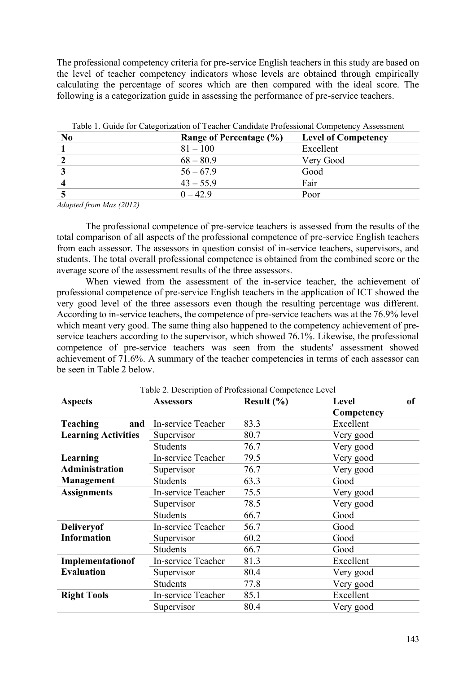The professional competency criteria for pre-service English teachers in this study are based on the level of teacher competency indicators whose levels are obtained through empirically calculating the percentage of scores which are then compared with the ideal score. The following is a categorization guide in assessing the performance of pre-service teachers.

| No | Range of Percentage (%) | <b>Level of Competency</b> |
|----|-------------------------|----------------------------|
|    | $81 - 100$              | Excellent                  |
|    | $68 - 80.9$             | Very Good                  |
|    | $56 - 67.9$             | Good                       |
|    | $43 - 55.9$             | Fair                       |
|    | $0 - 42.9$              | Poor                       |

|  |  | Table 1. Guide for Categorization of Teacher Candidate Professional Competency Assessment |  |  |  |  |  |
|--|--|-------------------------------------------------------------------------------------------|--|--|--|--|--|
|--|--|-------------------------------------------------------------------------------------------|--|--|--|--|--|

*Adapted from Mas (2012)*

The professional competence of pre-service teachers is assessed from the results of the total comparison of all aspects of the professional competence of pre-service English teachers from each assessor. The assessors in question consist of in-service teachers, supervisors, and students. The total overall professional competence is obtained from the combined score or the average score of the assessment results of the three assessors.

When viewed from the assessment of the in-service teacher, the achievement of professional competence of pre-service English teachers in the application of ICT showed the very good level of the three assessors even though the resulting percentage was different. According to in-service teachers, the competence of pre-service teachers was at the 76.9% level which meant very good. The same thing also happened to the competency achievement of preservice teachers according to the supervisor, which showed 76.1%. Likewise, the professional competence of pre-service teachers was seen from the students' assessment showed achievement of 71.6%. A summary of the teacher competencies in terms of each assessor can be seen in Table 2 below.

| <b>Aspects</b>             | raoic 2. Description or rrotessional competence Ecver<br><b>Assessors</b> | Result $(\% )$ | of<br><b>Level</b> |  |
|----------------------------|---------------------------------------------------------------------------|----------------|--------------------|--|
|                            |                                                                           |                | Competency         |  |
| <b>Teaching</b><br>and     | In-service Teacher                                                        | 83.3           | Excellent          |  |
| <b>Learning Activities</b> | Supervisor                                                                | 80.7           | Very good          |  |
|                            | <b>Students</b>                                                           | 76.7           | Very good          |  |
| Learning                   | In-service Teacher                                                        | 79.5           | Very good          |  |
| <b>Administration</b>      | Supervisor                                                                | 76.7           | Very good          |  |
| Management                 | <b>Students</b>                                                           | 63.3           | Good               |  |
| <b>Assignments</b>         | In-service Teacher                                                        | 75.5           | Very good          |  |
|                            | Supervisor                                                                | 78.5           | Very good          |  |
|                            | <b>Students</b>                                                           | 66.7           | Good               |  |
| <b>Deliveryof</b>          | In-service Teacher                                                        | 56.7           | Good               |  |
| <b>Information</b>         | Supervisor                                                                | 60.2           | Good               |  |
|                            | Students                                                                  | 66.7           | Good               |  |
| Implementationof           | In-service Teacher                                                        | 81.3           | Excellent          |  |
| <b>Evaluation</b>          | Supervisor                                                                | 80.4           | Very good          |  |
|                            | Students                                                                  | 77.8           | Very good          |  |
| <b>Right Tools</b>         | <b>In-service Teacher</b>                                                 | 85.1           | Excellent          |  |
|                            | Supervisor                                                                | 80.4           | Very good          |  |

Table 2. Description of Professional Competence Level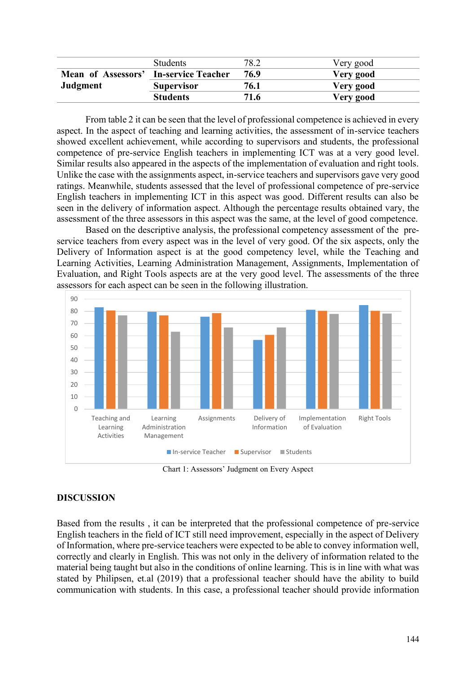|                                       | <b>Students</b>   | 78.2 | Very good |
|---------------------------------------|-------------------|------|-----------|
| Mean of Assessors' In-service Teacher |                   | 76.9 | Very good |
| Judgment                              | <b>Supervisor</b> | 76.1 | Very good |
|                                       | <b>Students</b>   | 71.6 | Very good |

From table 2 it can be seen that the level of professional competence is achieved in every aspect. In the aspect of teaching and learning activities, the assessment of in-service teachers showed excellent achievement, while according to supervisors and students, the professional competence of pre-service English teachers in implementing ICT was at a very good level. Similar results also appeared in the aspects of the implementation of evaluation and right tools. Unlike the case with the assignments aspect, in-service teachers and supervisors gave very good ratings. Meanwhile, students assessed that the level of professional competence of pre-service English teachers in implementing ICT in this aspect was good. Different results can also be seen in the delivery of information aspect. Although the percentage results obtained vary, the assessment of the three assessors in this aspect was the same, at the level of good competence.

Based on the descriptive analysis, the professional competency assessment of the preservice teachers from every aspect was in the level of very good. Of the six aspects, only the Delivery of Information aspect is at the good competency level, while the Teaching and Learning Activities, Learning Administration Management, Assignments, Implementation of Evaluation, and Right Tools aspects are at the very good level. The assessments of the three assessors for each aspect can be seen in the following illustration.



Chart 1: Assessors' Judgment on Every Aspect

# **DISCUSSION**

Based from the results , it can be interpreted that the professional competence of pre-service English teachers in the field of ICT still need improvement, especially in the aspect of Delivery of Information, where pre-service teachers were expected to be able to convey information well, correctly and clearly in English. This was not only in the delivery of information related to the material being taught but also in the conditions of online learning. This is in line with what was stated by Philipsen, et.al (2019) that a professional teacher should have the ability to build communication with students. In this case, a professional teacher should provide information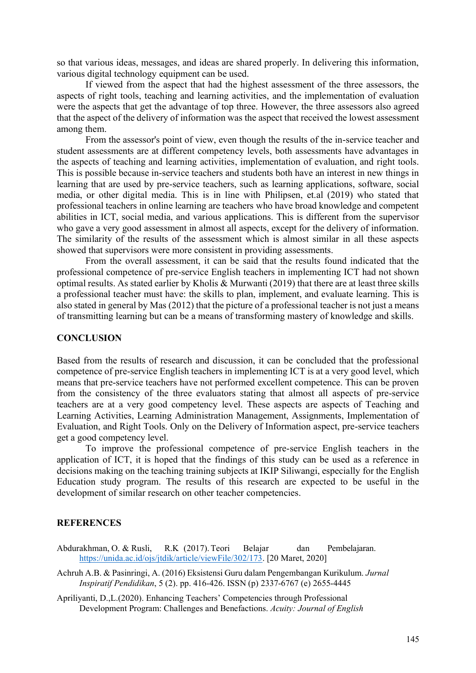so that various ideas, messages, and ideas are shared properly. In delivering this information, various digital technology equipment can be used.

If viewed from the aspect that had the highest assessment of the three assessors, the aspects of right tools, teaching and learning activities, and the implementation of evaluation were the aspects that get the advantage of top three. However, the three assessors also agreed that the aspect of the delivery of information was the aspect that received the lowest assessment among them.

From the assessor's point of view, even though the results of the in-service teacher and student assessments are at different competency levels, both assessments have advantages in the aspects of teaching and learning activities, implementation of evaluation, and right tools. This is possible because in-service teachers and students both have an interest in new things in learning that are used by pre-service teachers, such as learning applications, software, social media, or other digital media. This is in line with Philipsen, et.al (2019) who stated that professional teachers in online learning are teachers who have broad knowledge and competent abilities in ICT, social media, and various applications. This is different from the supervisor who gave a very good assessment in almost all aspects, except for the delivery of information. The similarity of the results of the assessment which is almost similar in all these aspects showed that supervisors were more consistent in providing assessments.

From the overall assessment, it can be said that the results found indicated that the professional competence of pre-service English teachers in implementing ICT had not shown optimal results. As stated earlier by Kholis & Murwanti (2019) that there are at least three skills a professional teacher must have: the skills to plan, implement, and evaluate learning. This is also stated in general by Mas (2012) that the picture of a professional teacher is not just a means of transmitting learning but can be a means of transforming mastery of knowledge and skills.

## **CONCLUSION**

Based from the results of research and discussion, it can be concluded that the professional competence of pre-service English teachers in implementing ICT is at a very good level, which means that pre-service teachers have not performed excellent competence. This can be proven from the consistency of the three evaluators stating that almost all aspects of pre-service teachers are at a very good competency level. These aspects are aspects of Teaching and Learning Activities, Learning Administration Management, Assignments, Implementation of Evaluation, and Right Tools. Only on the Delivery of Information aspect, pre-service teachers get a good competency level.

To improve the professional competence of pre-service English teachers in the application of ICT, it is hoped that the findings of this study can be used as a reference in decisions making on the teaching training subjects at IKIP Siliwangi, especially for the English Education study program. The results of this research are expected to be useful in the development of similar research on other teacher competencies.

## **REFERENCES**

- Abdurakhman, O. & Rusli, R.K (2017).Teori Belajar dan Pembelajaran. [https://unida.ac.id/ojs/jtdik/article/viewFile/302/173.](https://unida.ac.id/ojs/jtdik/article/viewFile/302/173) [20 Maret, 2020]
- Achruh A.B. & Pasinringi, A. (2016) Eksistensi Guru dalam Pengembangan Kurikulum. *Jurnal Inspiratif Pendidikan*, 5 (2). pp. 416-426. ISSN (p) 2337-6767 (e) 2655-4445
- Apriliyanti, D.,L.(2020). Enhancing Teachers' Competencies through Professional Development Program: Challenges and Benefactions. *Acuity: Journal of English*